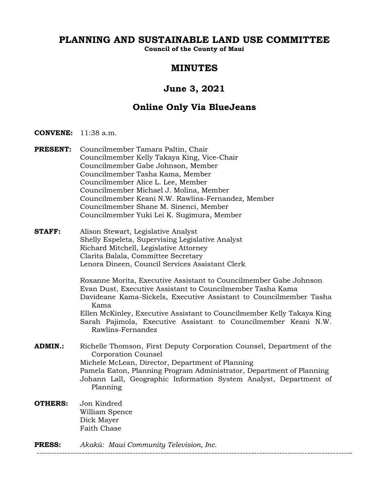# **PLANNING AND SUSTAINABLE LAND USE COMMITTEE**

**Council of the County of Maui**

### **MINUTES**

## **June 3, 2021**

## **Online Only Via BlueJeans**

- **CONVENE:** 11:38 a.m.
- **PRESENT:** Councilmember Tamara Paltin, Chair Councilmember Kelly Takaya King, Vice-Chair Councilmember Gabe Johnson, Member Councilmember Tasha Kama, Member Councilmember Alice L. Lee, Member Councilmember Michael J. Molina, Member Councilmember Keani N.W. Rawlins-Fernandez, Member Councilmember Shane M. Sinenci, Member Councilmember Yuki Lei K. Sugimura, Member
- **STAFF:** Alison Stewart, Legislative Analyst Shelly Espeleta, Supervising Legislative Analyst Richard Mitchell, Legislative Attorney Clarita Balala, Committee Secretary Lenora Dineen, Council Services Assistant Clerk

Roxanne Morita, Executive Assistant to Councilmember Gabe Johnson Evan Dust, Executive Assistant to Councilmember Tasha Kama Davideane Kama-Sickels, Executive Assistant to Councilmember Tasha Kama Ellen McKinley, Executive Assistant to Councilmember Kelly Takaya King Sarah Pajimola, Executive Assistant to Councilmember Keani N.W. Rawlins-Fernandez

- **ADMIN.:** Richelle Thomson, First Deputy Corporation Counsel, Department of the Corporation Counsel Michele McLean, Director, Department of Planning Pamela Eaton, Planning Program Administrator, Department of Planning Johann Lall, Geographic Information System Analyst, Department of Planning
- **OTHERS:** Jon Kindred William Spence Dick Mayer Faith Chase

**PRESS:** *Akakū: Maui Community Television, Inc.* ----------------------------------------------------------------------------------------------------------------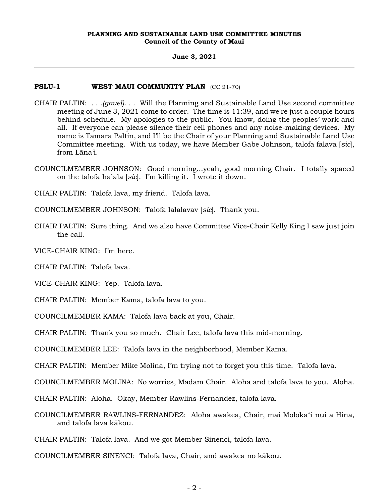#### **June 3, 2021**

#### **PSLU-1 WEST MAUI COMMUNITY PLAN** (CC 21-70)

- CHAIR PALTIN: . . .*(gavel)*. . . Will the Planning and Sustainable Land Use second committee meeting of June 3, 2021 come to order. The time is 11:39, and we're just a couple hours behind schedule. My apologies to the public. You know, doing the peoples' work and all. If everyone can please silence their cell phones and any noise-making devices. My name is Tamara Paltin, and I'll be the Chair of your Planning and Sustainable Land Use Committee meeting. With us today, we have Member Gabe Johnson, talofa falava [*sic*], from Lāna'i.
- COUNCILMEMBER JOHNSON: Good morning...yeah, good morning Chair. I totally spaced on the talofa halala [*sic*]. I'm killing it. I wrote it down.
- CHAIR PALTIN: Talofa lava, my friend. Talofa lava.
- COUNCILMEMBER JOHNSON: Talofa lalalavav [*sic*]. Thank you.
- CHAIR PALTIN: Sure thing. And we also have Committee Vice-Chair Kelly King I saw just join the call.

VICE-CHAIR KING: I'm here.

CHAIR PALTIN: Talofa lava.

VICE-CHAIR KING: Yep. Talofa lava.

CHAIR PALTIN: Member Kama, talofa lava to you.

COUNCILMEMBER KAMA: Talofa lava back at you, Chair.

CHAIR PALTIN: Thank you so much. Chair Lee, talofa lava this mid-morning.

COUNCILMEMBER LEE: Talofa lava in the neighborhood, Member Kama.

CHAIR PALTIN: Member Mike Molina, I'm trying not to forget you this time. Talofa lava.

COUNCILMEMBER MOLINA: No worries, Madam Chair. Aloha and talofa lava to you. Aloha.

CHAIR PALTIN: Aloha. Okay, Member Rawlins-Fernandez, talofa lava.

COUNCILMEMBER RAWLINS-FERNANDEZ: Aloha awakea, Chair, mai Molokaʻi nui a Hina, and talofa lava kākou.

CHAIR PALTIN: Talofa lava. And we got Member Sinenci, talofa lava.

COUNCILMEMBER SINENCI: Talofa lava, Chair, and awakea no kākou.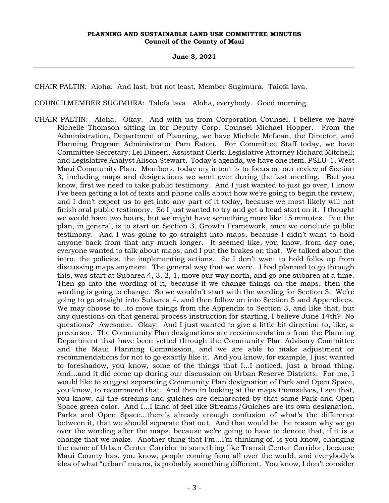**June 3, 2021**

CHAIR PALTIN: Aloha. And last, but not least, Member Sugimura. Talofa lava.

COUNCILMEMBER SUGIMURA: Talofa lava. Aloha, everybody. Good morning.

CHAIR PALTIN: Aloha. Okay. And with us from Corporation Counsel, I believe we have Richelle Thomson sitting in for Deputy Corp. Counsel Michael Hopper. From the Administration, Department of Planning, we have Michele McLean, the Director, and Planning Program Administrator Pam Eaton. For Committee Staff today, we have Committee Secretary; Lei Dineen, Assistant Clerk; Legislative Attorney Richard Mitchell; and Legislative Analyst Alison Stewart. Today's agenda, we have one item, PSLU-1, West Maui Community Plan. Members, today my intent is to focus on our review of Section 3, including maps and designations we went over during the last meeting. But you know, first we need to take public testimony. And I just wanted to just go over, I know I've been getting a lot of texts and phone calls about how we're going to begin the review, and I don't expect us to get into any part of it today, because we most likely will not finish oral public testimony. So I just wanted to try and get a head start on it. I thought we would have two hours, but we might have something more like 15 minutes. But the plan, in general, is to start on Section 3, Growth Framework, once we conclude public testimony. And I was going to go straight into maps, because I didn't want to hold anyone back from that any much longer. It seemed like, you know, from day one, everyone wanted to talk about maps, and I put the brakes on that. We talked about the intro, the policies, the implementing actions. So I don't want to hold folks up from discussing maps anymore. The general way that we were...I had planned to go through this, was start at Subarea 4, 3, 2, 1, move our way north, and go one subarea at a time. Then go into the wording of it, because if we change things on the maps, then the wording is going to change. So we wouldn't start with the wording for Section 3. We're going to go straight into Subarea 4, and then follow on into Section 5 and Appendices. We may choose to...to move things from the Appendix to Section 3, and like that, but any questions on that general process instruction for starting, I believe June 14th? No questions? Awesome. Okay. And I just wanted to give a little bit direction to, like, a precursor. The Community Plan designations are recommendations from the Planning Department that have been vetted through the Community Plan Advisory Committee and the Maui Planning Commission, and we are able to make adjustment or recommendations for not to go exactly like it. And you know, for example, I just wanted to foreshadow, you know, some of the things that I...I noticed, just a broad thing. And...and it did come up during our discussion on Urban Reserve Districts. For me, I would like to suggest separating Community Plan designation of Park and Open Space, you know, to recommend that. And then in looking at the maps themselves, I see that, you know, all the streams and gulches are demarcated by that same Park and Open Space green color. And I...I kind of feel like Streams/Gulches are its own designation, Parks and Open Space...there's already enough confusion of what's the difference between it, that we should separate that out. And that would be the reason why we go over the wording after the maps, because we're going to have to denote that, if it is a change that we make. Another thing that I'm...I'm thinking of, is you know, changing the name of Urban Center Corridor to something like Transit Center Corridor, because Maui County has, you know, people coming from all over the world, and everybody's idea of what "urban" means, is probably something different. You know, I don't consider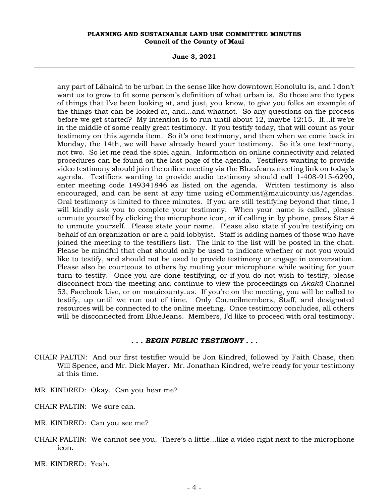**June 3, 2021**

any part of Lāhainā to be urban in the sense like how downtown Honolulu is, and I don't want us to grow to fit some person's definition of what urban is. So those are the types of things that I've been looking at, and just, you know, to give you folks an example of the things that can be looked at, and...and whatnot. So any questions on the process before we get started? My intention is to run until about 12, maybe 12:15. If...if we're in the middle of some really great testimony. If you testify today, that will count as your testimony on this agenda item. So it's one testimony, and then when we come back in Monday, the 14th, we will have already heard your testimony. So it's one testimony, not two. So let me read the spiel again. Information on online connectivity and related procedures can be found on the last page of the agenda. Testifiers wanting to provide video testimony should join the online meeting via the BlueJeans meeting link on today's agenda. Testifiers wanting to provide audio testimony should call 1-408-915-6290, enter meeting code 149341846 as listed on the agenda. Written testimony is also encouraged, and can be sent at any time using eComment@mauicounty.us/agendas. Oral testimony is limited to three minutes. If you are still testifying beyond that time, I will kindly ask you to complete your testimony. When your name is called, please unmute yourself by clicking the microphone icon, or if calling in by phone, press Star 4 to unmute yourself. Please state your name. Please also state if you're testifying on behalf of an organization or are a paid lobbyist. Staff is adding names of those who have joined the meeting to the testifiers list. The link to the list will be posted in the chat. Please be mindful that chat should only be used to indicate whether or not you would like to testify, and should not be used to provide testimony or engage in conversation. Please also be courteous to others by muting your microphone while waiting for your turn to testify. Once you are done testifying, or if you do not wish to testify, please disconnect from the meeting and continue to view the proceedings on *Akakū* Channel 53, Facebook Live, or on mauicounty.us. If you're on the meeting, you will be called to testify, up until we run out of time. Only Councilmembers, Staff, and designated resources will be connected to the online meeting. Once testimony concludes, all others will be disconnected from BlueJeans. Members, I'd like to proceed with oral testimony.

#### *. . . BEGIN PUBLIC TESTIMONY . . .*

- CHAIR PALTIN: And our first testifier would be Jon Kindred, followed by Faith Chase, then Will Spence, and Mr. Dick Mayer. Mr. Jonathan Kindred, we're ready for your testimony at this time.
- MR. KINDRED: Okay. Can you hear me?
- CHAIR PALTIN: We sure can.
- MR. KINDRED: Can you see me?
- CHAIR PALTIN: We cannot see you. There's a little...like a video right next to the microphone icon.
- MR. KINDRED: Yeah.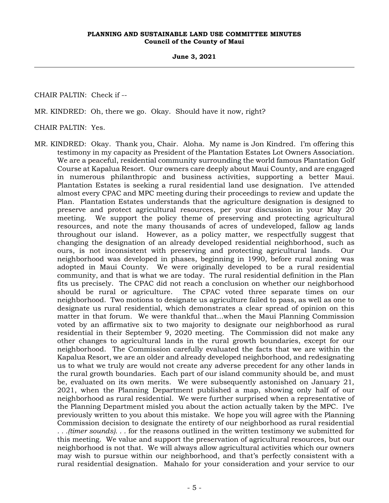**June 3, 2021**

CHAIR PALTIN: Check if --

MR. KINDRED: Oh, there we go. Okay. Should have it now, right?

CHAIR PALTIN: Yes.

MR. KINDRED: Okay. Thank you, Chair. Aloha. My name is Jon Kindred. I'm offering this testimony in my capacity as President of the Plantation Estates Lot Owners Association. We are a peaceful, residential community surrounding the world famous Plantation Golf Course at Kapalua Resort. Our owners care deeply about Maui County, and are engaged in numerous philanthropic and business activities, supporting a better Maui. Plantation Estates is seeking a rural residential land use designation. I've attended almost every CPAC and MPC meeting during their proceedings to review and update the Plan. Plantation Estates understands that the agriculture designation is designed to preserve and protect agricultural resources, per your discussion in your May 20 meeting. We support the policy theme of preserving and protecting agricultural resources, and note the many thousands of acres of undeveloped, fallow ag lands throughout our island. However, as a policy matter, we respectfully suggest that changing the designation of an already developed residential neighborhood, such as ours, is not inconsistent with preserving and protecting agricultural lands. Our neighborhood was developed in phases, beginning in 1990, before rural zoning was adopted in Maui County. We were originally developed to be a rural residential community, and that is what we are today. The rural residential definition in the Plan fits us precisely. The CPAC did not reach a conclusion on whether our neighborhood should be rural or agriculture. The CPAC voted three separate times on our neighborhood. Two motions to designate us agriculture failed to pass, as well as one to designate us rural residential, which demonstrates a clear spread of opinion on this matter in that forum. We were thankful that...when the Maui Planning Commission voted by an affirmative six to two majority to designate our neighborhood as rural residential in their September 9, 2020 meeting. The Commission did not make any other changes to agricultural lands in the rural growth boundaries, except for our neighborhood. The Commission carefully evaluated the facts that we are within the Kapalua Resort, we are an older and already developed neighborhood, and redesignating us to what we truly are would not create any adverse precedent for any other lands in the rural growth boundaries. Each part of our island community should be, and must be, evaluated on its own merits. We were subsequently astonished on January 21, 2021, when the Planning Department published a map, showing only half of our neighborhood as rural residential. We were further surprised when a representative of the Planning Department misled you about the action actually taken by the MPC. I've previously written to you about this mistake. We hope you will agree with the Planning Commission decision to designate the entirety of our neighborhood as rural residential *. . .(timer sounds). . .* for the reasons outlined in the written testimony we submitted for this meeting. We value and support the preservation of agricultural resources, but our neighborhood is not that. We will always allow agricultural activities which our owners may wish to pursue within our neighborhood, and that's perfectly consistent with a rural residential designation. Mahalo for your consideration and your service to our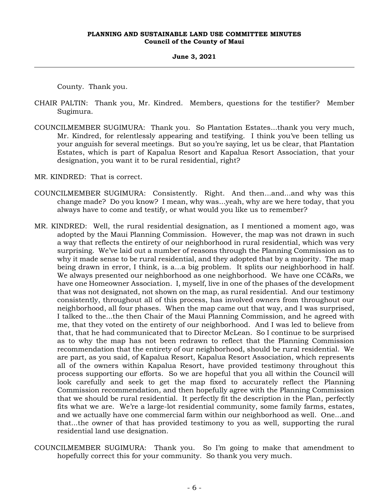#### **June 3, 2021**

County. Thank you.

- CHAIR PALTIN: Thank you, Mr. Kindred. Members, questions for the testifier? Member Sugimura.
- COUNCILMEMBER SUGIMURA: Thank you. So Plantation Estates...thank you very much, Mr. Kindred, for relentlessly appearing and testifying. I think you've been telling us your anguish for several meetings. But so you're saying, let us be clear, that Plantation Estates, which is part of Kapalua Resort and Kapalua Resort Association, that your designation, you want it to be rural residential, right?
- MR. KINDRED: That is correct.
- COUNCILMEMBER SUGIMURA: Consistently. Right. And then...and...and why was this change made? Do you know? I mean, why was...yeah, why are we here today, that you always have to come and testify, or what would you like us to remember?
- MR. KINDRED: Well, the rural residential designation, as I mentioned a moment ago, was adopted by the Maui Planning Commission. However, the map was not drawn in such a way that reflects the entirety of our neighborhood in rural residential, which was very surprising. We've laid out a number of reasons through the Planning Commission as to why it made sense to be rural residential, and they adopted that by a majority. The map being drawn in error, I think, is a...a big problem. It splits our neighborhood in half. We always presented our neighborhood as one neighborhood. We have one CC&Rs, we have one Homeowner Association. I, myself, live in one of the phases of the development that was not designated, not shown on the map, as rural residential. And our testimony consistently, throughout all of this process, has involved owners from throughout our neighborhood, all four phases. When the map came out that way, and I was surprised, I talked to the...the then Chair of the Maui Planning Commission, and he agreed with me, that they voted on the entirety of our neighborhood. And I was led to believe from that, that he had communicated that to Director McLean. So I continue to be surprised as to why the map has not been redrawn to reflect that the Planning Commission recommendation that the entirety of our neighborhood, should be rural residential. We are part, as you said, of Kapalua Resort, Kapalua Resort Association, which represents all of the owners within Kapalua Resort, have provided testimony throughout this process supporting our efforts. So we are hopeful that you all within the Council will look carefully and seek to get the map fixed to accurately reflect the Planning Commission recommendation, and then hopefully agree with the Planning Commission that we should be rural residential. It perfectly fit the description in the Plan, perfectly fits what we are. We're a large-lot residential community, some family farms, estates, and we actually have one commercial farm within our neighborhood as well. One...and that...the owner of that has provided testimony to you as well, supporting the rural residential land use designation.
- COUNCILMEMBER SUGIMURA: Thank you. So I'm going to make that amendment to hopefully correct this for your community. So thank you very much.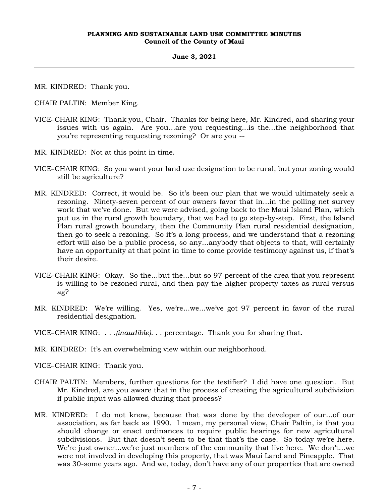#### **June 3, 2021**

MR. KINDRED: Thank you.

CHAIR PALTIN: Member King.

- VICE-CHAIR KING: Thank you, Chair. Thanks for being here, Mr. Kindred, and sharing your issues with us again. Are you...are you requesting...is the...the neighborhood that you're representing requesting rezoning? Or are you --
- MR. KINDRED: Not at this point in time.
- VICE-CHAIR KING: So you want your land use designation to be rural, but your zoning would still be agriculture?
- MR. KINDRED: Correct, it would be. So it's been our plan that we would ultimately seek a rezoning. Ninety-seven percent of our owners favor that in...in the polling net survey work that we've done. But we were advised, going back to the Maui Island Plan, which put us in the rural growth boundary, that we had to go step-by-step. First, the Island Plan rural growth boundary, then the Community Plan rural residential designation, then go to seek a rezoning. So it's a long process, and we understand that a rezoning effort will also be a public process, so any...anybody that objects to that, will certainly have an opportunity at that point in time to come provide testimony against us, if that's their desire.
- VICE-CHAIR KING: Okay. So the...but the...but so 97 percent of the area that you represent is willing to be rezoned rural, and then pay the higher property taxes as rural versus ag?
- MR. KINDRED: We're willing. Yes, we're...we...we've got 97 percent in favor of the rural residential designation.
- VICE-CHAIR KING: . . .*(inaudible)*. . . percentage. Thank you for sharing that.

MR. KINDRED: It's an overwhelming view within our neighborhood.

VICE-CHAIR KING: Thank you.

- CHAIR PALTIN: Members, further questions for the testifier? I did have one question. But Mr. Kindred, are you aware that in the process of creating the agricultural subdivision if public input was allowed during that process?
- MR. KINDRED: I do not know, because that was done by the developer of our...of our association, as far back as 1990. I mean, my personal view, Chair Paltin, is that you should change or enact ordinances to require public hearings for new agricultural subdivisions. But that doesn't seem to be that that's the case. So today we're here. We're just owner...we're just members of the community that live here. We don't...we were not involved in developing this property, that was Maui Land and Pineapple. That was 30-some years ago. And we, today, don't have any of our properties that are owned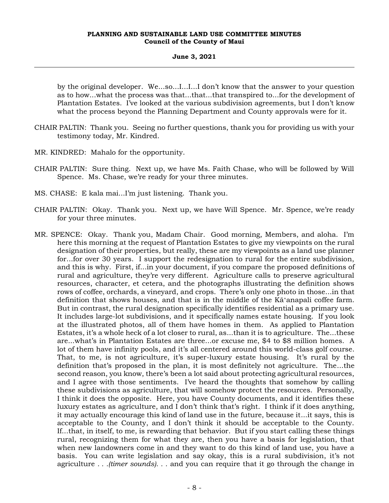#### **June 3, 2021**

by the original developer. We...so...I...I...I don't know that the answer to your question as to how...what the process was that...that...that transpired to...for the development of Plantation Estates. I've looked at the various subdivision agreements, but I don't know what the process beyond the Planning Department and County approvals were for it.

- CHAIR PALTIN: Thank you. Seeing no further questions, thank you for providing us with your testimony today, Mr. Kindred.
- MR. KINDRED: Mahalo for the opportunity.
- CHAIR PALTIN: Sure thing. Next up, we have Ms. Faith Chase, who will be followed by Will Spence. Ms. Chase, we're ready for your three minutes.
- MS. CHASE: E kala mai...I'm just listening. Thank you.
- CHAIR PALTIN: Okay. Thank you. Next up, we have Will Spence. Mr. Spence, we're ready for your three minutes.
- MR. SPENCE: Okay. Thank you, Madam Chair. Good morning, Members, and aloha. I'm here this morning at the request of Plantation Estates to give my viewpoints on the rural designation of their properties, but really, these are my viewpoints as a land use planner for...for over 30 years. I support the redesignation to rural for the entire subdivision, and this is why. First, if...in your document, if you compare the proposed definitions of rural and agriculture, they're very different. Agriculture calls to preserve agricultural resources, character, et cetera, and the photographs illustrating the definition shows rows of coffee, orchards, a vineyard, and crops. There's only one photo in those...in that definition that shows houses, and that is in the middle of the Kāʻanapali coffee farm. But in contrast, the rural designation specifically identifies residential as a primary use. It includes large-lot subdivisions, and it specifically names estate housing. If you look at the illustrated photos, all of them have homes in them. As applied to Plantation Estates, it's a whole heck of a lot closer to rural, as...than it is to agriculture. The...these are...what's in Plantation Estates are three...or excuse me, \$4 to \$8 million homes. A lot of them have infinity pools, and it's all centered around this world-class golf course. That, to me, is not agriculture, it's super-luxury estate housing. It's rural by the definition that's proposed in the plan, it is most definitely not agriculture. The...the second reason, you know, there's been a lot said about protecting agricultural resources, and I agree with those sentiments. I've heard the thoughts that somehow by calling these subdivisions as agriculture, that will somehow protect the resources. Personally, I think it does the opposite. Here, you have County documents, and it identifies these luxury estates as agriculture, and I don't think that's right. I think if it does anything, it may actually encourage this kind of land use in the future, because it...it says, this is acceptable to the County, and I don't think it should be acceptable to the County. If...that, in itself, to me, is rewarding that behavior. But if you start calling these things rural, recognizing them for what they are, then you have a basis for legislation, that when new landowners come in and they want to do this kind of land use, you have a basis. You can write legislation and say okay, this is a rural subdivision, it's not agriculture *. . .(timer sounds). . .* and you can require that it go through the change in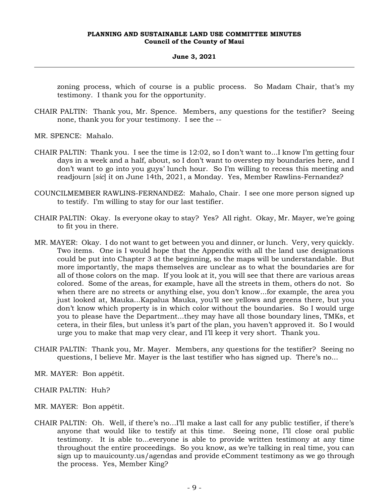#### **June 3, 2021**

zoning process, which of course is a public process. So Madam Chair, that's my testimony. I thank you for the opportunity.

- CHAIR PALTIN: Thank you, Mr. Spence. Members, any questions for the testifier? Seeing none, thank you for your testimony. I see the --
- MR. SPENCE: Mahalo.
- CHAIR PALTIN: Thank you. I see the time is 12:02, so I don't want to...I know I'm getting four days in a week and a half, about, so I don't want to overstep my boundaries here, and I don't want to go into you guys' lunch hour. So I'm willing to recess this meeting and readjourn [*sic*] it on June 14th, 2021, a Monday. Yes, Member Rawlins-Fernandez?
- COUNCILMEMBER RAWLINS-FERNANDEZ: Mahalo, Chair. I see one more person signed up to testify. I'm willing to stay for our last testifier.
- CHAIR PALTIN: Okay. Is everyone okay to stay? Yes? All right. Okay, Mr. Mayer, we're going to fit you in there.
- MR. MAYER: Okay. I do not want to get between you and dinner, or lunch. Very, very quickly. Two items. One is I would hope that the Appendix with all the land use designations could be put into Chapter 3 at the beginning, so the maps will be understandable. But more importantly, the maps themselves are unclear as to what the boundaries are for all of those colors on the map. If you look at it, you will see that there are various areas colored. Some of the areas, for example, have all the streets in them, others do not. So when there are no streets or anything else, you don't know...for example, the area you just looked at, Mauka...Kapalua Mauka, you'll see yellows and greens there, but you don't know which property is in which color without the boundaries. So I would urge you to please have the Department...they may have all those boundary lines, TMKs, et cetera, in their files, but unless it's part of the plan, you haven't approved it. So I would urge you to make that map very clear, and I'll keep it very short. Thank you.
- CHAIR PALTIN: Thank you, Mr. Mayer. Members, any questions for the testifier? Seeing no questions, I believe Mr. Mayer is the last testifier who has signed up. There's no...
- MR. MAYER: Bon appétit.
- CHAIR PALTIN: Huh?
- MR. MAYER: Bon appétit.
- CHAIR PALTIN: Oh. Well, if there's no…I'll make a last call for any public testifier, if there's anyone that would like to testify at this time. Seeing none, I'll close oral public testimony. It is able to...everyone is able to provide written testimony at any time throughout the entire proceedings. So you know, as we're talking in real time, you can sign up to mauicounty.us/agendas and provide eComment testimony as we go through the process. Yes, Member King?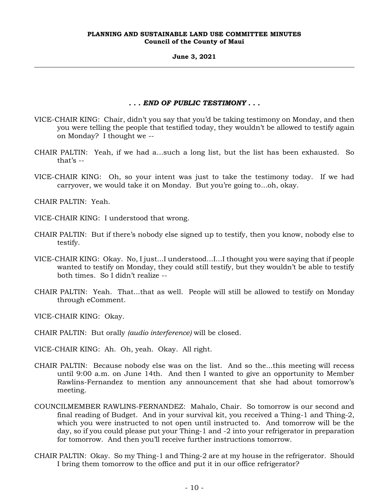**June 3, 2021**

### *. . . END OF PUBLIC TESTIMONY . . .*

- VICE-CHAIR KING: Chair, didn't you say that you'd be taking testimony on Monday, and then you were telling the people that testified today, they wouldn't be allowed to testify again on Monday? I thought we --
- CHAIR PALTIN: Yeah, if we had a...such a long list, but the list has been exhausted. So that's --
- VICE-CHAIR KING: Oh, so your intent was just to take the testimony today. If we had carryover, we would take it on Monday. But you're going to...oh, okay.

CHAIR PALTIN: Yeah.

- VICE-CHAIR KING: I understood that wrong.
- CHAIR PALTIN: But if there's nobody else signed up to testify, then you know, nobody else to testify.
- VICE-CHAIR KING: Okay. No, I just...I understood...I...I thought you were saying that if people wanted to testify on Monday, they could still testify, but they wouldn't be able to testify both times. So I didn't realize --
- CHAIR PALTIN: Yeah. That...that as well. People will still be allowed to testify on Monday through eComment.

VICE-CHAIR KING: Okay.

CHAIR PALTIN: But orally *(audio interference)* will be closed.

VICE-CHAIR KING: Ah. Oh, yeah. Okay. All right.

- CHAIR PALTIN: Because nobody else was on the list. And so the...this meeting will recess until 9:00 a.m. on June 14th. And then I wanted to give an opportunity to Member Rawlins-Fernandez to mention any announcement that she had about tomorrow's meeting.
- COUNCILMEMBER RAWLINS-FERNANDEZ: Mahalo, Chair. So tomorrow is our second and final reading of Budget. And in your survival kit, you received a Thing-1 and Thing-2, which you were instructed to not open until instructed to. And tomorrow will be the day, so if you could please put your Thing-1 and -2 into your refrigerator in preparation for tomorrow. And then you'll receive further instructions tomorrow.
- CHAIR PALTIN: Okay. So my Thing-1 and Thing-2 are at my house in the refrigerator. Should I bring them tomorrow to the office and put it in our office refrigerator?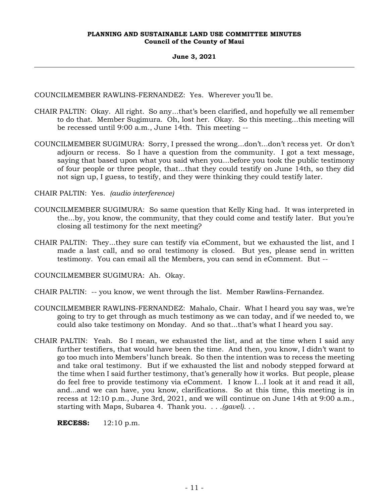**June 3, 2021**

COUNCILMEMBER RAWLINS-FERNANDEZ: Yes. Wherever you'll be.

- CHAIR PALTIN: Okay. All right. So any...that's been clarified, and hopefully we all remember to do that. Member Sugimura. Oh, lost her. Okay. So this meeting...this meeting will be recessed until 9:00 a.m., June 14th. This meeting --
- COUNCILMEMBER SUGIMURA: Sorry, I pressed the wrong...don't...don't recess yet. Or don't adjourn or recess. So I have a question from the community. I got a text message, saying that based upon what you said when you...before you took the public testimony of four people or three people, that...that they could testify on June 14th, so they did not sign up, I guess, to testify, and they were thinking they could testify later.

CHAIR PALTIN: Yes. *(audio interference)*

- COUNCILMEMBER SUGIMURA: So same question that Kelly King had. It was interpreted in the...by, you know, the community, that they could come and testify later. But you're closing all testimony for the next meeting?
- CHAIR PALTIN: They...they sure can testify via eComment, but we exhausted the list, and I made a last call, and so oral testimony is closed. But yes, please send in written testimony. You can email all the Members, you can send in eComment. But --

COUNCILMEMBER SUGIMURA: Ah. Okay.

- CHAIR PALTIN: -- you know, we went through the list. Member Rawlins-Fernandez.
- COUNCILMEMBER RAWLINS-FERNANDEZ: Mahalo, Chair. What I heard you say was, we're going to try to get through as much testimony as we can today, and if we needed to, we could also take testimony on Monday. And so that...that's what I heard you say.
- CHAIR PALTIN: Yeah. So I mean, we exhausted the list, and at the time when I said any further testifiers, that would have been the time. And then, you know, I didn't want to go too much into Members' lunch break. So then the intention was to recess the meeting and take oral testimony. But if we exhausted the list and nobody stepped forward at the time when I said further testimony, that's generally how it works. But people, please do feel free to provide testimony via eComment. I know I...I look at it and read it all, and...and we can have, you know, clarifications. So at this time, this meeting is in recess at 12:10 p.m., June 3rd, 2021, and we will continue on June 14th at 9:00 a.m., starting with Maps, Subarea 4. Thank you. . . .*(gavel)*. . .

**RECESS:** 12:10 p.m.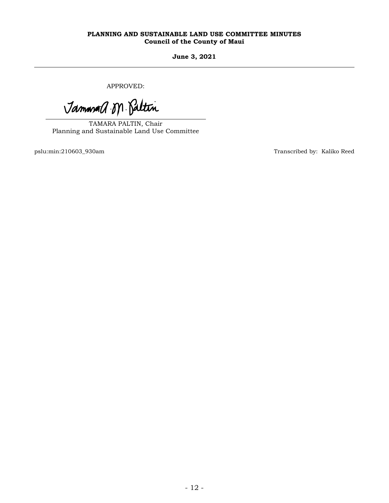**June 3, 2021**

APPROVED:

Jammand M. Paltin

TAMARA PALTIN, Chair Planning and Sustainable Land Use Committee

pslu:min:210603\_930am Transcribed by: Kaliko Reed